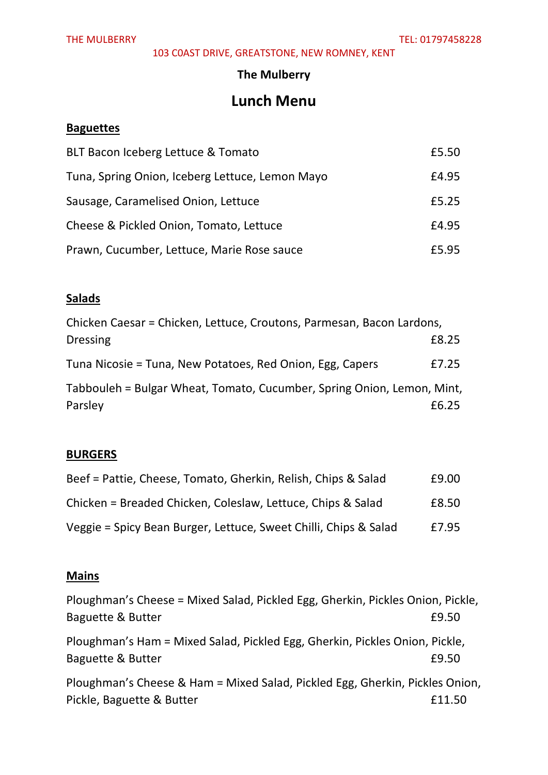103 C0AST DRIVE, GREATSTONE, NEW ROMNEY, KENT

#### **The Mulberry**

# **Lunch Menu**

### **Baguettes**

| BLT Bacon Iceberg Lettuce & Tomato              | £5.50 |
|-------------------------------------------------|-------|
| Tuna, Spring Onion, Iceberg Lettuce, Lemon Mayo | £4.95 |
| Sausage, Caramelised Onion, Lettuce             | £5.25 |
| Cheese & Pickled Onion, Tomato, Lettuce         | £4.95 |
| Prawn, Cucumber, Lettuce, Marie Rose sauce      | £5.95 |

### **Salads**

| Chicken Caesar = Chicken, Lettuce, Croutons, Parmesan, Bacon Lardons,             |       |
|-----------------------------------------------------------------------------------|-------|
| <b>Dressing</b>                                                                   | £8.25 |
| Tuna Nicosie = Tuna, New Potatoes, Red Onion, Egg, Capers                         | £7.25 |
| Tabbouleh = Bulgar Wheat, Tomato, Cucumber, Spring Onion, Lemon, Mint,<br>Parsley | £6.25 |
|                                                                                   |       |

### **BURGERS**

| Beef = Pattie, Cheese, Tomato, Gherkin, Relish, Chips & Salad    | £9.00 |
|------------------------------------------------------------------|-------|
| Chicken = Breaded Chicken, Coleslaw, Lettuce, Chips & Salad      | £8.50 |
| Veggie = Spicy Bean Burger, Lettuce, Sweet Chilli, Chips & Salad | £7.95 |

### **Mains**

| Ploughman's Cheese = Mixed Salad, Pickled Egg, Gherkin, Pickles Onion, Pickle,                   |        |
|--------------------------------------------------------------------------------------------------|--------|
| Baguette & Butter                                                                                | £9.50  |
| Ploughman's Ham = Mixed Salad, Pickled Egg, Gherkin, Pickles Onion, Pickle,<br>Baguette & Butter | £9.50  |
| Ploughman's Cheese & Ham = Mixed Salad, Pickled Egg, Gherkin, Pickles Onion,                     |        |
| Pickle, Baguette & Butter                                                                        | £11.50 |